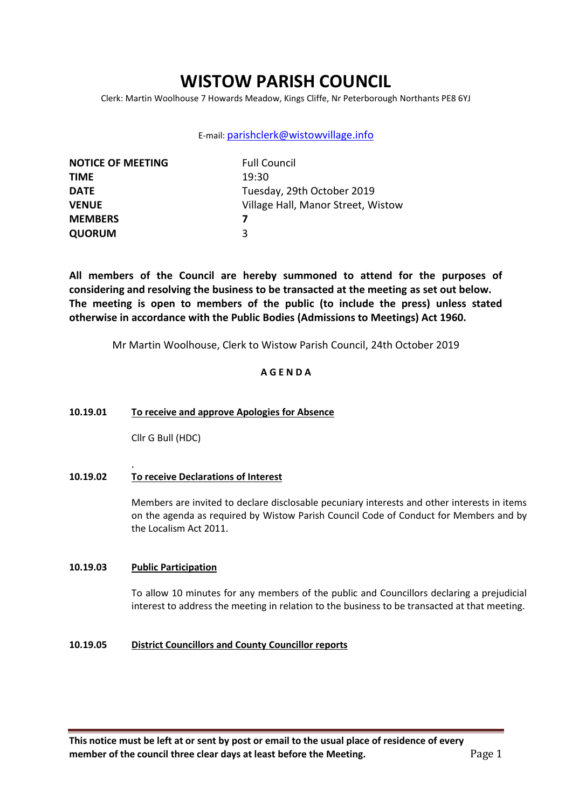# **WISTOW PARISH COUNCIL**

Clerk: Martin Woolhouse 7 Howards Meadow, Kings Cliffe, Nr Peterborough Northants PE8 6YJ

### E-mail: [parishclerk@wistowvillage.info](mailto:parishclerk@wistowvillage.info)

| <b>NOTICE OF MEETING</b> | <b>Full Council</b>                |
|--------------------------|------------------------------------|
| <b>TIME</b>              | 19:30                              |
| <b>DATE</b>              | Tuesday, 29th October 2019         |
| <b>VENUE</b>             | Village Hall, Manor Street, Wistow |
| <b>MEMBERS</b>           |                                    |
| <b>QUORUM</b>            | 3                                  |

**All members of the Council are hereby summoned to attend for the purposes of considering and resolving the business to be transacted at the meeting as set out below. The meeting is open to members of the public (to include the press) unless stated otherwise in accordance with the Public Bodies (Admissions to Meetings) Act 1960.**

Mr Martin Woolhouse, Clerk to Wistow Parish Council, 24th October 2019

# **A G E N D A**

#### **10.19.01 To receive and approve Apologies for Absence**

Cllr G Bull (HDC)

#### **10.19.02 To receive Declarations of Interest**

Members are invited to declare disclosable pecuniary interests and other interests in items on the agenda as required by Wistow Parish Council Code of Conduct for Members and by the Localism Act 2011.

### **10.19.03 Public Participation**

.

To allow 10 minutes for any members of the public and Councillors declaring a prejudicial interest to address the meeting in relation to the business to be transacted at that meeting.

### **10.19.05 District Councillors and County Councillor reports**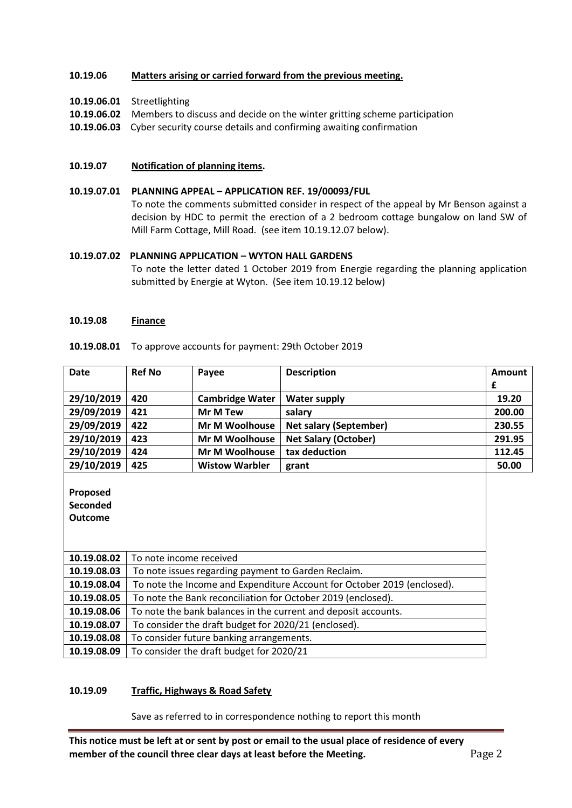## **10.19.06 Matters arising or carried forward from the previous meeting.**

# **10.19.06.01** Streetlighting

- **10.19.06.02** Members to discuss and decide on the winter gritting scheme participation
- **10.19.06.03** Cyber security course details and confirming awaiting confirmation

#### **10.19.07 Notification of planning items.**

# **10.19.07.01 PLANNING APPEAL – APPLICATION REF. 19/00093/FUL**

To note the comments submitted consider in respect of the appeal by Mr Benson against a decision by HDC to permit the erection of a 2 bedroom cottage bungalow on land SW of Mill Farm Cottage, Mill Road. (see item 10.19.12.07 below).

### **10.19.07.02 PLANNING APPLICATION – WYTON HALL GARDENS**

To note the letter dated 1 October 2019 from Energie regarding the planning application submitted by Energie at Wyton. (See item 10.19.12 below)

#### **10.19.08 Finance**

| <b>Date</b>                                   | <b>Ref No</b>                                                           | Payee                  | <b>Description</b>            | Amount |
|-----------------------------------------------|-------------------------------------------------------------------------|------------------------|-------------------------------|--------|
|                                               |                                                                         |                        |                               | £      |
| 29/10/2019                                    | 420                                                                     | <b>Cambridge Water</b> | <b>Water supply</b>           | 19.20  |
| 29/09/2019                                    | 421                                                                     | <b>Mr M Tew</b>        | salary                        | 200.00 |
| 29/09/2019                                    | 422                                                                     | Mr M Woolhouse         | <b>Net salary (September)</b> | 230.55 |
| 29/10/2019                                    | 423                                                                     | Mr M Woolhouse         | <b>Net Salary (October)</b>   | 291.95 |
| 29/10/2019                                    | 424                                                                     | <b>Mr M Woolhouse</b>  | tax deduction                 | 112.45 |
| 29/10/2019                                    | 425                                                                     | <b>Wistow Warbler</b>  | grant                         | 50.00  |
| Proposed<br><b>Seconded</b><br><b>Outcome</b> |                                                                         |                        |                               |        |
| 10.19.08.02                                   | To note income received                                                 |                        |                               |        |
| 10.19.08.03                                   | To note issues regarding payment to Garden Reclaim.                     |                        |                               |        |
| 10.19.08.04                                   | To note the Income and Expenditure Account for October 2019 (enclosed). |                        |                               |        |
| 10.19.08.05                                   | To note the Bank reconciliation for October 2019 (enclosed).            |                        |                               |        |
| 10.19.08.06                                   | To note the bank balances in the current and deposit accounts.          |                        |                               |        |
| 10.19.08.07                                   | To consider the draft budget for 2020/21 (enclosed).                    |                        |                               |        |
| 10.19.08.08                                   | To consider future banking arrangements.                                |                        |                               |        |
| 10.19.08.09                                   | To consider the draft budget for 2020/21                                |                        |                               |        |

**10.19.08.01** To approve accounts for payment: 29th October 2019

#### **10.19.09 Traffic, Highways & Road Safety**

Save as referred to in correspondence nothing to report this month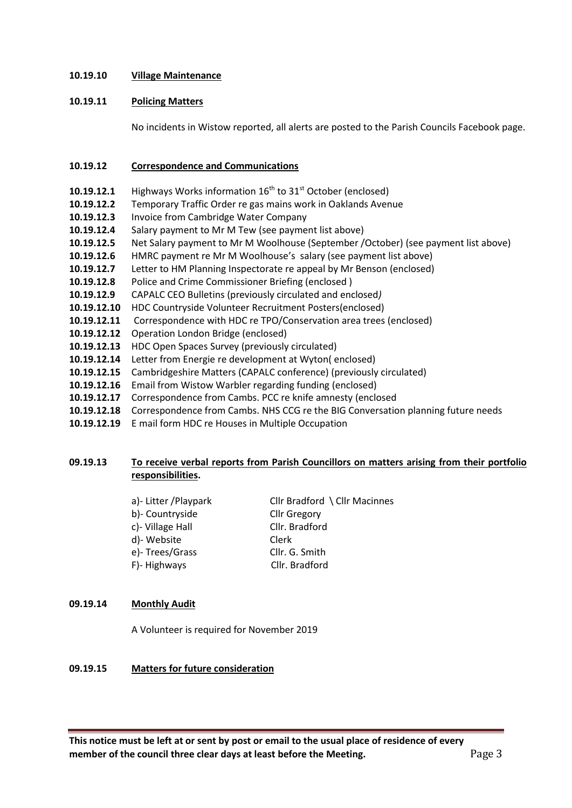## **10.19.10 Village Maintenance**

## **10.19.11 Policing Matters**

No incidents in Wistow reported, all alerts are posted to the Parish Councils Facebook page.

# **10.19.12 Correspondence and Communications**

- **10.19.12.1** Highways Works information  $16<sup>th</sup>$  to  $31<sup>st</sup>$  October (enclosed)
- **10.19.12.2** Temporary Traffic Order re gas mains work in Oaklands Avenue
- **10.19.12.3** Invoice from Cambridge Water Company
- **10.19.12.4** Salary payment to Mr M Tew (see payment list above)
- **10.19.12.5** Net Salary payment to Mr M Woolhouse (September /October) (see payment list above)
- **10.19.12.6** HMRC payment re Mr M Woolhouse's salary (see payment list above)
- **10.19.12.7** Letter to HM Planning Inspectorate re appeal by Mr Benson (enclosed)
- **10.19.12.8** Police and Crime Commissioner Briefing (enclosed )
- **10.19.12.9** CAPALC CEO Bulletins (previously circulated and enclosed*)*
- **10.19.12.10** HDC Countryside Volunteer Recruitment Posters(enclosed)
- **10.19.12.11** Correspondence with HDC re TPO/Conservation area trees (enclosed)
- **10.19.12.12** Operation London Bridge (enclosed)
- **10.19.12.13** HDC Open Spaces Survey (previously circulated)
- **10.19.12.14** Letter from Energie re development at Wyton( enclosed)
- **10.19.12.15** Cambridgeshire Matters (CAPALC conference) (previously circulated)
- **10.19.12.16** Email from Wistow Warbler regarding funding (enclosed)
- **10.19.12.17** Correspondence from Cambs. PCC re knife amnesty (enclosed
- **10.19.12.18** Correspondence from Cambs. NHS CCG re the BIG Conversation planning future needs
- **10.19.12.19** E mail form HDC re Houses in Multiple Occupation

# **09.19.13 To receive verbal reports from Parish Councillors on matters arising from their portfolio responsibilities.**

| a)- Litter / Playpark<br>b)- Countryside | Cllr Bradford \ Cllr Macinnes<br><b>Cllr Gregory</b> |
|------------------------------------------|------------------------------------------------------|
| c)- Village Hall                         | Cllr. Bradford                                       |
| d)- Website                              | Clerk                                                |
| e)-Trees/Grass                           | Cllr. G. Smith                                       |
| F)-Highways                              | Cllr. Bradford                                       |
|                                          |                                                      |

### **09.19.14 Monthly Audit**

A Volunteer is required for November 2019

#### **09.19.15 Matters for future consideration**